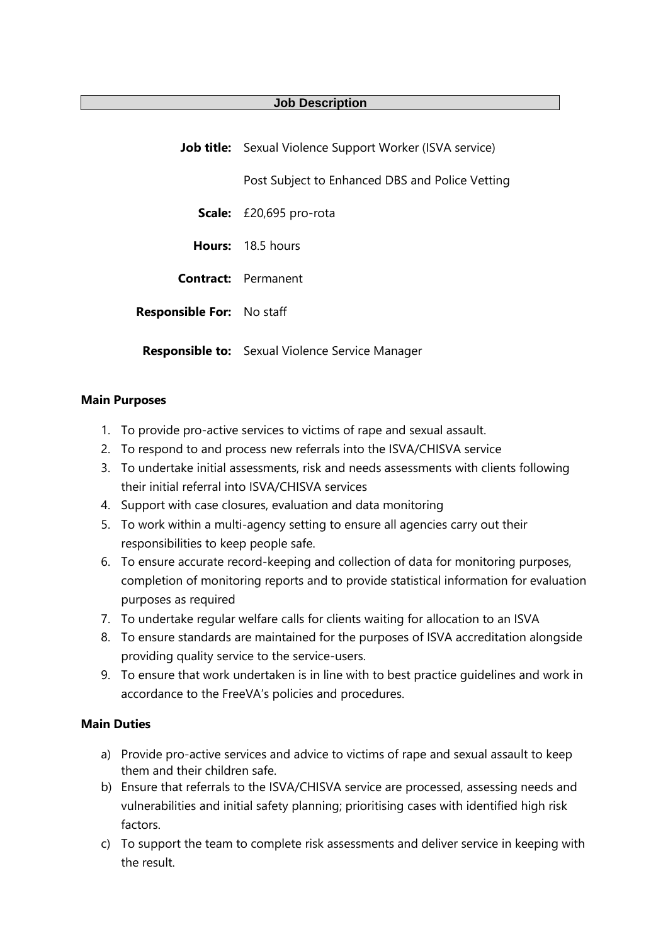## **Job Description**

|                                  | <b>Job title:</b> Sexual Violence Support Worker (ISVA service) |  |
|----------------------------------|-----------------------------------------------------------------|--|
|                                  | Post Subject to Enhanced DBS and Police Vetting                 |  |
|                                  | Scale: £20,695 pro-rota                                         |  |
|                                  | Hours: 18.5 hours                                               |  |
|                                  | <b>Contract:</b> Permanent                                      |  |
| <b>Responsible For:</b> No staff |                                                                 |  |
|                                  | <b>Responsible to:</b> Sexual Violence Service Manager          |  |

## **Main Purposes**

- 1. To provide pro-active services to victims of rape and sexual assault.
- 2. To respond to and process new referrals into the ISVA/CHISVA service
- 3. To undertake initial assessments, risk and needs assessments with clients following their initial referral into ISVA/CHISVA services
- 4. Support with case closures, evaluation and data monitoring
- 5. To work within a multi-agency setting to ensure all agencies carry out their responsibilities to keep people safe.
- 6. To ensure accurate record-keeping and collection of data for monitoring purposes, completion of monitoring reports and to provide statistical information for evaluation purposes as required
- 7. To undertake regular welfare calls for clients waiting for allocation to an ISVA
- 8. To ensure standards are maintained for the purposes of ISVA accreditation alongside providing quality service to the service-users.
- 9. To ensure that work undertaken is in line with to best practice guidelines and work in accordance to the FreeVA's policies and procedures.

## **Main Duties**

- a) Provide pro-active services and advice to victims of rape and sexual assault to keep them and their children safe.
- b) Ensure that referrals to the ISVA/CHISVA service are processed, assessing needs and vulnerabilities and initial safety planning; prioritising cases with identified high risk factors.
- c) To support the team to complete risk assessments and deliver service in keeping with the result.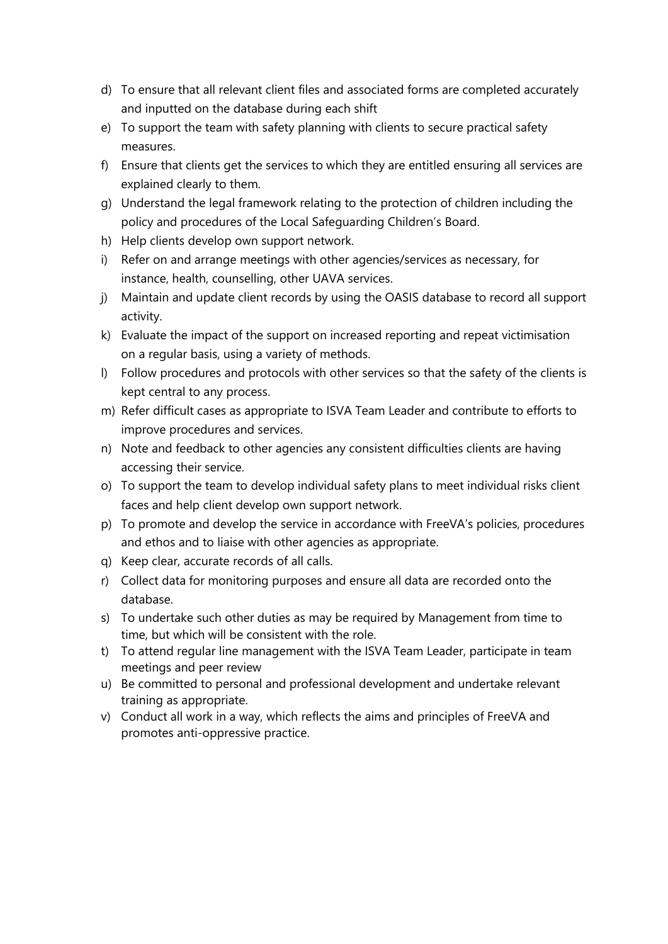- d) To ensure that all relevant client files and associated forms are completed accurately and inputted on the database during each shift
- e) To support the team with safety planning with clients to secure practical safety measures.
- f) Ensure that clients get the services to which they are entitled ensuring all services are explained clearly to them.
- g) Understand the legal framework relating to the protection of children including the policy and procedures of the Local Safeguarding Children's Board.
- h) Help clients develop own support network.
- i) Refer on and arrange meetings with other agencies/services as necessary, for instance, health, counselling, other UAVA services.
- j) Maintain and update client records by using the OASIS database to record all support activity.
- k) Evaluate the impact of the support on increased reporting and repeat victimisation on a regular basis, using a variety of methods.
- l) Follow procedures and protocols with other services so that the safety of the clients is kept central to any process.
- m) Refer difficult cases as appropriate to ISVA Team Leader and contribute to efforts to improve procedures and services.
- n) Note and feedback to other agencies any consistent difficulties clients are having accessing their service.
- o) To support the team to develop individual safety plans to meet individual risks client faces and help client develop own support network.
- p) To promote and develop the service in accordance with FreeVA's policies, procedures and ethos and to liaise with other agencies as appropriate.
- q) Keep clear, accurate records of all calls.
- r) Collect data for monitoring purposes and ensure all data are recorded onto the database.
- s) To undertake such other duties as may be required by Management from time to time, but which will be consistent with the role.
- t) To attend regular line management with the ISVA Team Leader, participate in team meetings and peer review
- u) Be committed to personal and professional development and undertake relevant training as appropriate.
- v) Conduct all work in a way, which reflects the aims and principles of FreeVA and promotes anti-oppressive practice.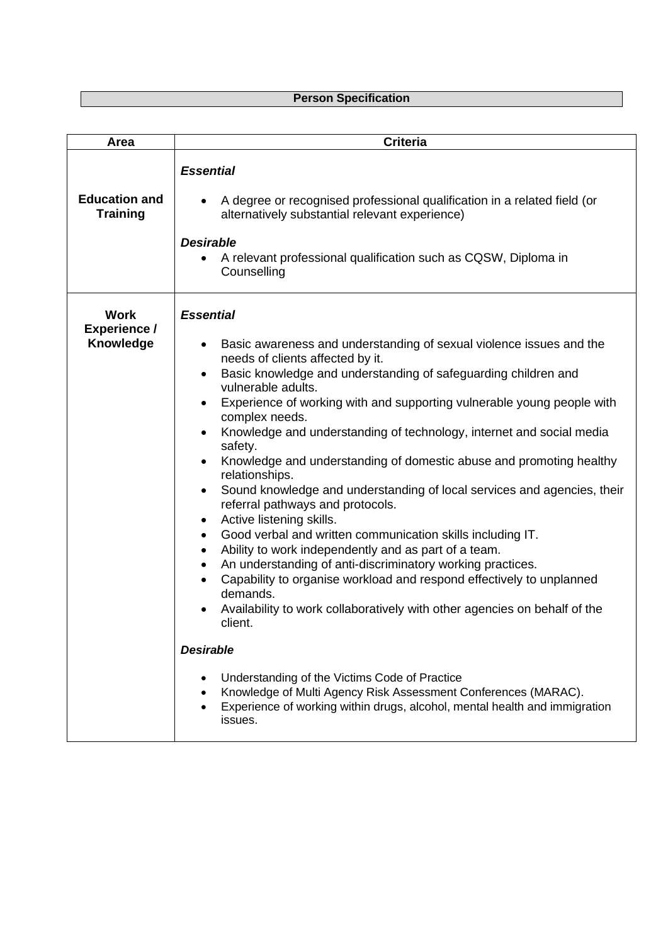## **Person Specification**

| <b>Area</b>                              | <b>Criteria</b>                                                                                                                                                                                                                                                                                                                                                                                                                                                                                                                                                                                                                                                                                                                                                                                                                                                                                                                                                                                                                                                                                                                                                                                                                                                                                                           |
|------------------------------------------|---------------------------------------------------------------------------------------------------------------------------------------------------------------------------------------------------------------------------------------------------------------------------------------------------------------------------------------------------------------------------------------------------------------------------------------------------------------------------------------------------------------------------------------------------------------------------------------------------------------------------------------------------------------------------------------------------------------------------------------------------------------------------------------------------------------------------------------------------------------------------------------------------------------------------------------------------------------------------------------------------------------------------------------------------------------------------------------------------------------------------------------------------------------------------------------------------------------------------------------------------------------------------------------------------------------------------|
| <b>Education and</b><br><b>Training</b>  | <b>Essential</b><br>A degree or recognised professional qualification in a related field (or<br>alternatively substantial relevant experience)<br><b>Desirable</b><br>A relevant professional qualification such as CQSW, Diploma in<br>Counselling                                                                                                                                                                                                                                                                                                                                                                                                                                                                                                                                                                                                                                                                                                                                                                                                                                                                                                                                                                                                                                                                       |
| Work<br><b>Experience /</b><br>Knowledge | <b>Essential</b><br>Basic awareness and understanding of sexual violence issues and the<br>needs of clients affected by it.<br>Basic knowledge and understanding of safeguarding children and<br>vulnerable adults.<br>Experience of working with and supporting vulnerable young people with<br>$\bullet$<br>complex needs.<br>Knowledge and understanding of technology, internet and social media<br>safety.<br>Knowledge and understanding of domestic abuse and promoting healthy<br>$\bullet$<br>relationships.<br>Sound knowledge and understanding of local services and agencies, their<br>$\bullet$<br>referral pathways and protocols.<br>Active listening skills.<br>٠<br>Good verbal and written communication skills including IT.<br>$\bullet$<br>Ability to work independently and as part of a team.<br>$\bullet$<br>An understanding of anti-discriminatory working practices.<br>$\bullet$<br>Capability to organise workload and respond effectively to unplanned<br>demands.<br>Availability to work collaboratively with other agencies on behalf of the<br>client.<br><b>Desirable</b><br>Understanding of the Victims Code of Practice<br>Knowledge of Multi Agency Risk Assessment Conferences (MARAC).<br>Experience of working within drugs, alcohol, mental health and immigration<br>issues. |